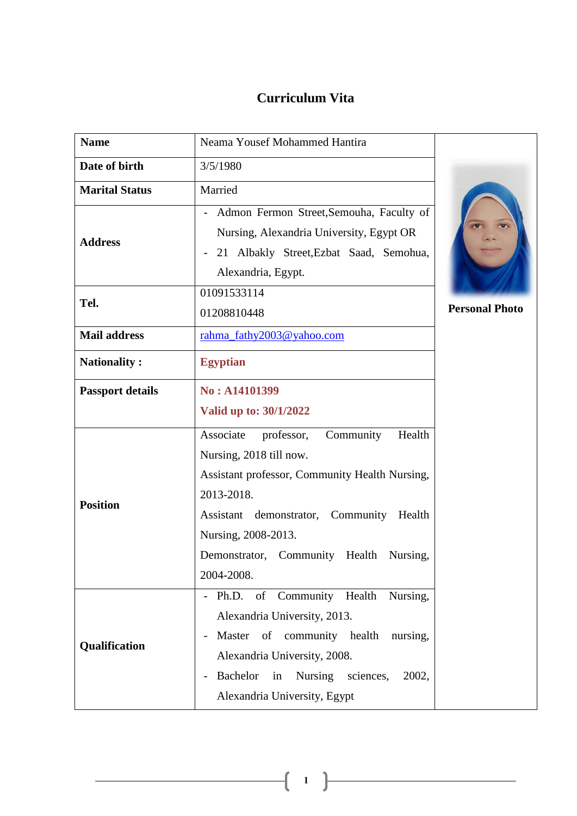# **Curriculum Vita**

| <b>Name</b>             | Neama Yousef Mohammed Hantira                                                                                                                                                                                                                                                                                            |                       |
|-------------------------|--------------------------------------------------------------------------------------------------------------------------------------------------------------------------------------------------------------------------------------------------------------------------------------------------------------------------|-----------------------|
| Date of birth           | 3/5/1980                                                                                                                                                                                                                                                                                                                 |                       |
| <b>Marital Status</b>   | Married                                                                                                                                                                                                                                                                                                                  |                       |
| <b>Address</b>          | Admon Fermon Street, Semouha, Faculty of<br>Nursing, Alexandria University, Egypt OR<br>21 Albakly Street, Ezbat Saad, Semohua,<br>$\overline{\phantom{a}}$<br>Alexandria, Egypt.                                                                                                                                        |                       |
| Tel.                    | 01091533114<br>01208810448                                                                                                                                                                                                                                                                                               | <b>Personal Photo</b> |
| <b>Mail address</b>     | rahma_fathy2003@yahoo.com                                                                                                                                                                                                                                                                                                |                       |
| <b>Nationality:</b>     | <b>Egyptian</b>                                                                                                                                                                                                                                                                                                          |                       |
| <b>Passport details</b> | No: A14101399<br>Valid up to: 30/1/2022                                                                                                                                                                                                                                                                                  |                       |
| <b>Position</b>         | Community<br>Associate<br>Health<br>professor,<br>Nursing, 2018 till now.<br>Assistant professor, Community Health Nursing,<br>2013-2018.<br>Assistant demonstrator, Community<br>Health<br>Nursing, 2008-2013.<br>Demonstrator, Community Health Nursing,<br>2004-2008.                                                 |                       |
| Qualification           | Ph.D. of Community Health Nursing,<br>$\qquad \qquad \blacksquare$<br>Alexandria University, 2013.<br>Master of community health nursing,<br>$\overline{\phantom{a}}$<br>Alexandria University, 2008.<br><b>Bachelor</b><br>in<br>Nursing sciences,<br>2002,<br>$\overline{\phantom{m}}$<br>Alexandria University, Egypt |                       |

**1**

 $\mathbf f$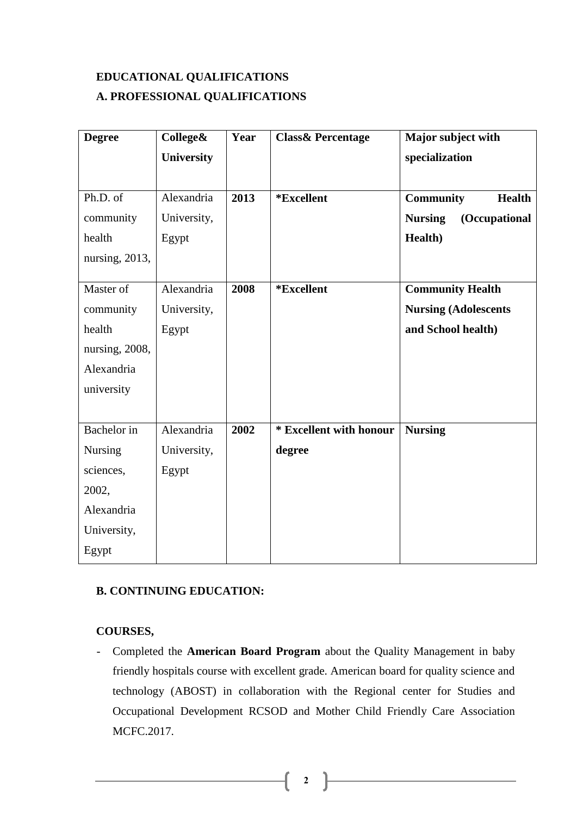## **EDUCATIONAL QUALIFICATIONS A. PROFESSIONAL QUALIFICATIONS**

| <b>Degree</b>         | College&          | Year | <b>Class &amp; Percentage</b> | Major subject with                |
|-----------------------|-------------------|------|-------------------------------|-----------------------------------|
|                       | <b>University</b> |      |                               | specialization                    |
|                       |                   |      |                               |                                   |
| Ph.D. $\overline{of}$ | Alexandria        | 2013 | *Excellent                    | <b>Health</b><br><b>Community</b> |
| community             | University,       |      |                               | (Occupational<br><b>Nursing</b>   |
| health                | Egypt             |      |                               | Health)                           |
| nursing, 2013,        |                   |      |                               |                                   |
|                       |                   |      |                               |                                   |
| Master of             | Alexandria        | 2008 | *Excellent                    | <b>Community Health</b>           |
| community             | University,       |      |                               | <b>Nursing (Adolescents</b>       |
| health                | Egypt             |      |                               | and School health)                |
| nursing, 2008,        |                   |      |                               |                                   |
| Alexandria            |                   |      |                               |                                   |
| university            |                   |      |                               |                                   |
|                       |                   |      |                               |                                   |
| Bachelor in           | Alexandria        | 2002 | * Excellent with honour       | <b>Nursing</b>                    |
| Nursing               | University,       |      | degree                        |                                   |
| sciences,             | Egypt             |      |                               |                                   |
| 2002,                 |                   |      |                               |                                   |
| Alexandria            |                   |      |                               |                                   |
| University,           |                   |      |                               |                                   |
| Egypt                 |                   |      |                               |                                   |

## **B. CONTINUING EDUCATION:**

## **COURSES,**

- Completed the **American Board Program** about the Quality Management in baby friendly hospitals course with excellent grade. American board for quality science and technology (ABOST) in collaboration with the Regional center for Studies and Occupational Development RCSOD and Mother Child Friendly Care Association MCFC.2017.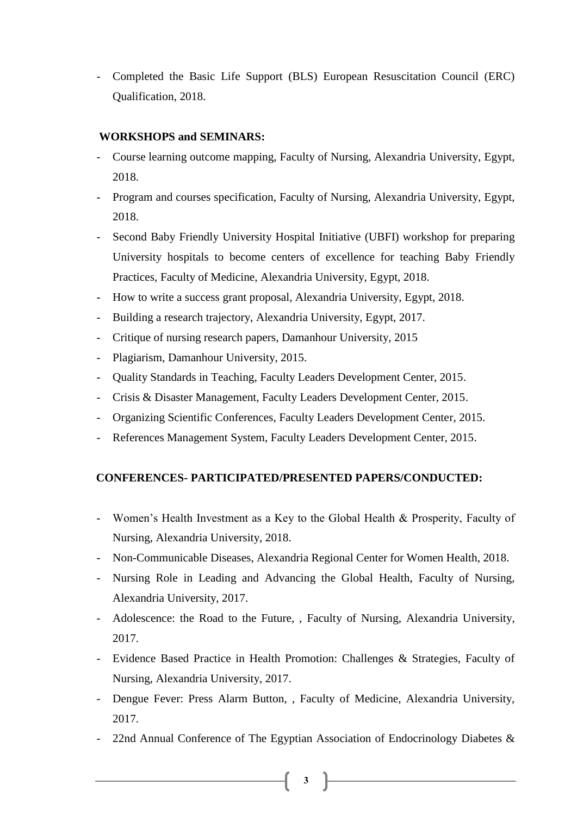- Completed the Basic Life Support (BLS) European Resuscitation Council (ERC) Qualification, 2018.

## **WORKSHOPS and SEMINARS:**

- Course learning outcome mapping, Faculty of Nursing, Alexandria University, Egypt, 2018.
- Program and courses specification, Faculty of Nursing, Alexandria University, Egypt, 2018.
- Second Baby Friendly University Hospital Initiative (UBFI) workshop for preparing University hospitals to become centers of excellence for teaching Baby Friendly Practices, Faculty of Medicine, Alexandria University, Egypt, 2018.
- How to write a success grant proposal, Alexandria University, Egypt, 2018.
- Building a research trajectory, Alexandria University, Egypt, 2017.
- Critique of nursing research papers, Damanhour University, 2015
- Plagiarism, Damanhour University, 2015.
- Quality Standards in Teaching, Faculty Leaders Development Center, 2015.
- Crisis & Disaster Management, Faculty Leaders Development Center, 2015.
- Organizing Scientific Conferences, Faculty Leaders Development Center, 2015.
- References Management System, Faculty Leaders Development Center, 2015.

## **CONFERENCES- PARTICIPATED/PRESENTED PAPERS/CONDUCTED:**

- Women's Health Investment as a Key to the Global Health & Prosperity, Faculty of Nursing, Alexandria University, 2018.
- Non-Communicable Diseases, Alexandria Regional Center for Women Health, 2018.
- Nursing Role in Leading and Advancing the Global Health, Faculty of Nursing, Alexandria University, 2017.
- Adolescence: the Road to the Future, , Faculty of Nursing, Alexandria University, 2017.
- Evidence Based Practice in Health Promotion: Challenges & Strategies, Faculty of Nursing, Alexandria University, 2017.
- Dengue Fever: Press Alarm Button, , Faculty of Medicine, Alexandria University, 2017.
- 22nd Annual Conference of The Egyptian Association of Endocrinology Diabetes  $\&$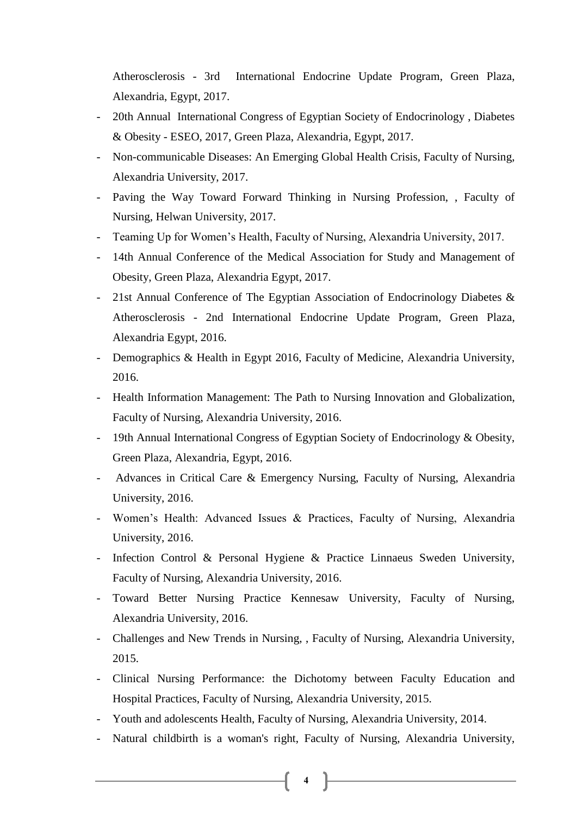Atherosclerosis - 3rd International Endocrine Update Program, Green Plaza, Alexandria, Egypt, 2017.

- 20th Annual International Congress of Egyptian Society of Endocrinology , Diabetes & Obesity - ESEO, 2017, Green Plaza, Alexandria, Egypt, 2017.
- Non-communicable Diseases: An Emerging Global Health Crisis, Faculty of Nursing, Alexandria University, 2017.
- Paving the Way Toward Forward Thinking in Nursing Profession, , Faculty of Nursing, Helwan University, 2017.
- Teaming Up for Women's Health, Faculty of Nursing, Alexandria University, 2017.
- 14th Annual Conference of the Medical Association for Study and Management of Obesity, Green Plaza, Alexandria Egypt, 2017.
- 21st Annual Conference of The Egyptian Association of Endocrinology Diabetes & Atherosclerosis - 2nd International Endocrine Update Program, Green Plaza, Alexandria Egypt, 2016.
- Demographics & Health in Egypt 2016, Faculty of Medicine, Alexandria University, 2016.
- Health Information Management: The Path to Nursing Innovation and Globalization, Faculty of Nursing, Alexandria University, 2016.
- 19th Annual International Congress of Egyptian Society of Endocrinology & Obesity, Green Plaza, Alexandria, Egypt, 2016.
- Advances in Critical Care & Emergency Nursing, Faculty of Nursing, Alexandria University, 2016.
- Women's Health: Advanced Issues & Practices, Faculty of Nursing, Alexandria University, 2016.
- Infection Control & Personal Hygiene & Practice Linnaeus Sweden University, Faculty of Nursing, Alexandria University, 2016.
- Toward Better Nursing Practice Kennesaw University, Faculty of Nursing, Alexandria University, 2016.
- Challenges and New Trends in Nursing, , Faculty of Nursing, Alexandria University, 2015.
- Clinical Nursing Performance: the Dichotomy between Faculty Education and Hospital Practices, Faculty of Nursing, Alexandria University, 2015.
- Youth and adolescents Health, Faculty of Nursing, Alexandria University, 2014.
- Natural childbirth is a woman's right, Faculty of Nursing, Alexandria University,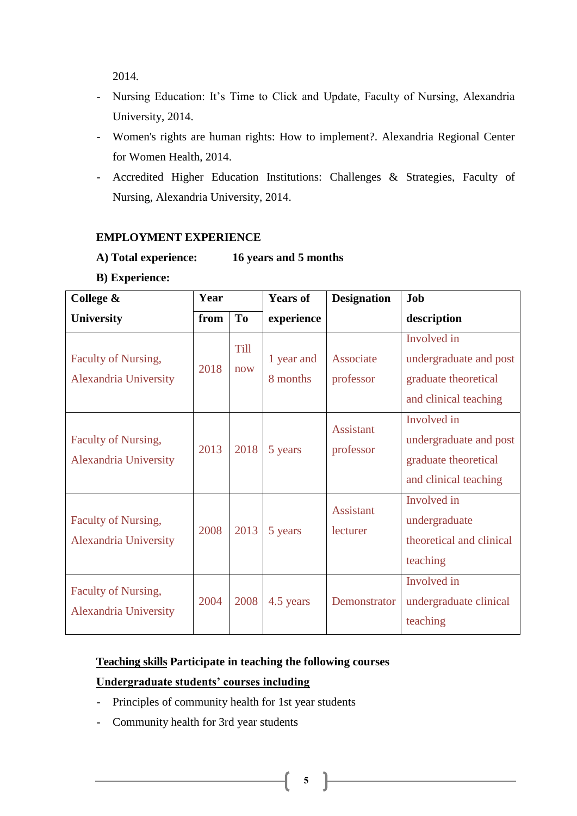2014.

- Nursing Education: It's Time to Click and Update, Faculty of Nursing, Alexandria University, 2014.
- Women's rights are human rights: How to implement?. Alexandria Regional Center for Women Health, 2014.
- Accredited Higher Education Institutions: Challenges & Strategies, Faculty of Nursing, Alexandria University, 2014.

## **EMPLOYMENT EXPERIENCE**

- **A) Total experience: 16 years and 5 months** 
	-
- **B) Experience:**

| College &                                    | Year |                | <b>Years of</b>        | <b>Designation</b>            | Job                                                                                    |
|----------------------------------------------|------|----------------|------------------------|-------------------------------|----------------------------------------------------------------------------------------|
| <b>University</b>                            | from | T <sub>0</sub> | experience             |                               | description                                                                            |
| Faculty of Nursing,<br>Alexandria University | 2018 | Till<br>now    | 1 year and<br>8 months | Associate<br>professor        | Involved in<br>undergraduate and post<br>graduate theoretical<br>and clinical teaching |
| Faculty of Nursing,<br>Alexandria University | 2013 | 2018           | 5 years                | <b>Assistant</b><br>professor | Involved in<br>undergraduate and post<br>graduate theoretical<br>and clinical teaching |
| Faculty of Nursing,<br>Alexandria University | 2008 | 2013           | 5 years                | <b>Assistant</b><br>lecturer  | Involved in<br>undergraduate<br>theoretical and clinical<br>teaching                   |
| Faculty of Nursing,<br>Alexandria University | 2004 | 2008           | 4.5 years              | Demonstrator                  | Involved in<br>undergraduate clinical<br>teaching                                      |

## **Teaching skills Participate in teaching the following courses**

#### **Undergraduate students' courses including**

- Principles of community health for 1st year students
- Community health for 3rd year students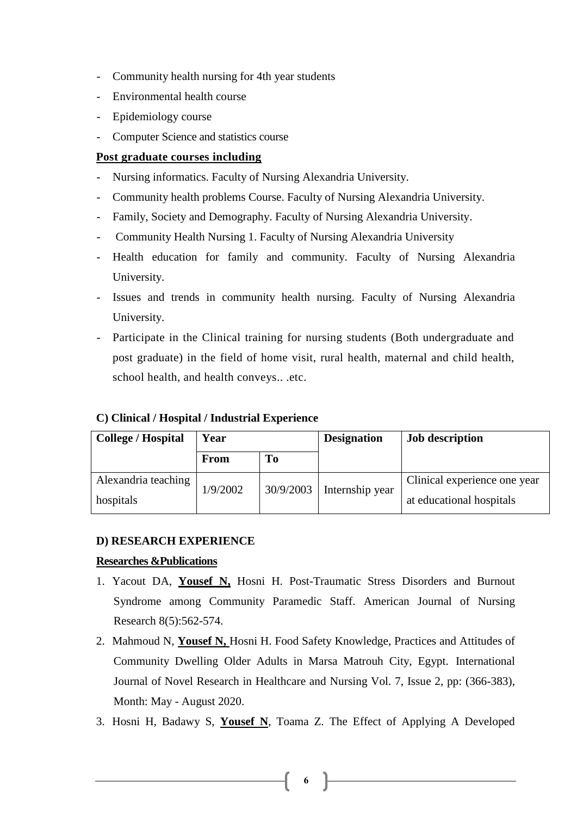- Community health nursing for 4th year students
- Environmental health course
- Epidemiology course
- Computer Science and statistics course

## **Post graduate courses including**

- Nursing informatics. Faculty of Nursing Alexandria University.
- Community health problems Course. Faculty of Nursing Alexandria University.
- Family, Society and Demography. Faculty of Nursing Alexandria University.
- Community Health Nursing 1. Faculty of Nursing Alexandria University
- Health education for family and community. Faculty of Nursing Alexandria University.
- Issues and trends in community health nursing. Faculty of Nursing Alexandria University.
- Participate in the Clinical training for nursing students (Both undergraduate and post graduate) in the field of home visit, rural health, maternal and child health, school health, and health conveys.. .etc.

#### **C) Clinical / Hospital / Industrial Experience**

| <b>College / Hospital</b> | Year     |           | <b>Designation</b> | <b>Job description</b>       |
|---------------------------|----------|-----------|--------------------|------------------------------|
|                           | From     | Tо        |                    |                              |
| Alexandria teaching       | 1/9/2002 | 30/9/2003 | Internship year    | Clinical experience one year |
| hospitals                 |          |           |                    | at educational hospitals     |

#### **D) RESEARCH EXPERIENCE**

#### **Researches &Publications**

- 1. Yacout DA, **Yousef N,** Hosni H. Post-Traumatic Stress Disorders and Burnout Syndrome among Community Paramedic Staff. American Journal of Nursing Research 8(5):562-574.
- 2. Mahmoud N, **Yousef N,** Hosni H. Food Safety Knowledge, Practices and Attitudes of Community Dwelling Older Adults in Marsa Matrouh City, Egypt. International Journal of Novel Research in Healthcare and Nursing Vol. 7, Issue 2, pp: (366-383), Month: May - August 2020.
- 3. Hosni H, Badawy S, **Yousef N**, Toama Z. The Effect of Applying A Developed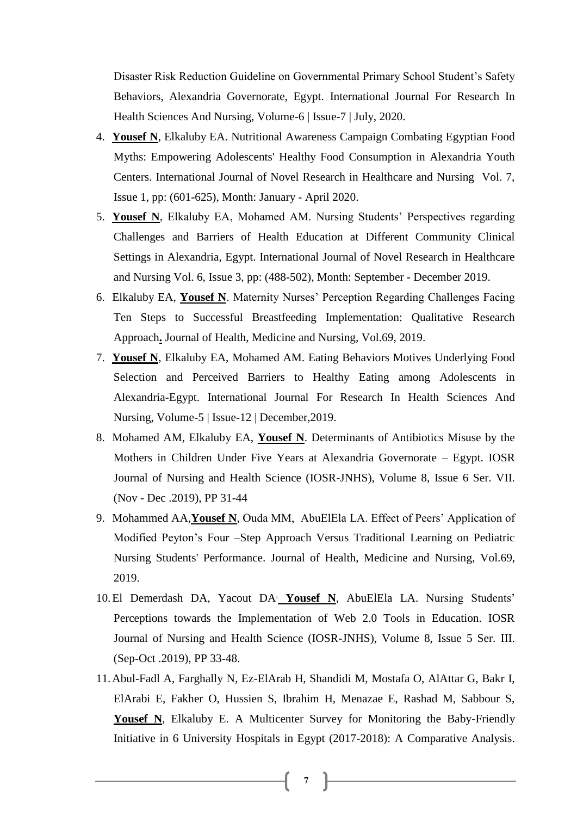Disaster Risk Reduction Guideline on Governmental Primary School Student's Safety Behaviors, Alexandria Governorate, Egypt. International Journal For Research In Health Sciences And Nursing, Volume-6 | Issue-7 | July, 2020.

- 4. **Yousef N**, Elkaluby EA. Nutritional Awareness Campaign Combating Egyptian Food Myths: Empowering Adolescents' Healthy Food Consumption in Alexandria Youth Centers. International Journal of Novel Research in Healthcare and Nursing Vol. 7, Issue 1, pp: (601-625), Month: January - April 2020.
- 5. **Yousef N**, Elkaluby EA, Mohamed AM. Nursing Students' Perspectives regarding Challenges and Barriers of Health Education at Different Community Clinical Settings in Alexandria, Egypt. International Journal of Novel Research in Healthcare and Nursing Vol. 6, Issue 3, pp: (488-502), Month: September - December 2019.
- 6. Elkaluby EA, **Yousef N**. Maternity Nurses' Perception Regarding Challenges Facing Ten Steps to Successful Breastfeeding Implementation: Qualitative Research Approach**.** Journal of Health, Medicine and Nursing, Vol.69, 2019.
- 7. **Yousef N**, Elkaluby EA, Mohamed AM. Eating Behaviors Motives Underlying Food Selection and Perceived Barriers to Healthy Eating among Adolescents in Alexandria-Egypt. International Journal For Research In Health Sciences And Nursing, Volume-5 | Issue-12 | December,2019.
- 8. Mohamed AM, Elkaluby EA, **Yousef N**. Determinants of Antibiotics Misuse by the Mothers in Children Under Five Years at Alexandria Governorate – Egypt. IOSR Journal of Nursing and Health Science (IOSR-JNHS), Volume 8, Issue 6 Ser. VII. (Nov - Dec .2019), PP 31-44
- 9. Mohammed AA,**Yousef N**, Ouda MM, AbuElEla LA. Effect of Peers' Application of Modified Peyton's Four –Step Approach Versus Traditional Learning on Pediatric Nursing Students' Performance. Journal of Health, Medicine and Nursing, Vol.69, 2019.
- 10.El Demerdash DA, Yacout DA, **Yousef N**, AbuElEla LA. Nursing Students' Perceptions towards the Implementation of Web 2.0 Tools in Education. IOSR Journal of Nursing and Health Science (IOSR-JNHS), Volume 8, Issue 5 Ser. III. (Sep-Oct .2019), PP 33-48.
- 11.Abul-Fadl A, Farghally N, Ez-ElArab H, Shandidi M, Mostafa O, AlAttar G, Bakr I, ElArabi E, Fakher O, Hussien S, Ibrahim H, Menazae E, Rashad M, Sabbour S, Yousef N, Elkaluby E. A Multicenter Survey for Monitoring the Baby-Friendly Initiative in 6 University Hospitals in Egypt (2017-2018): A Comparative Analysis.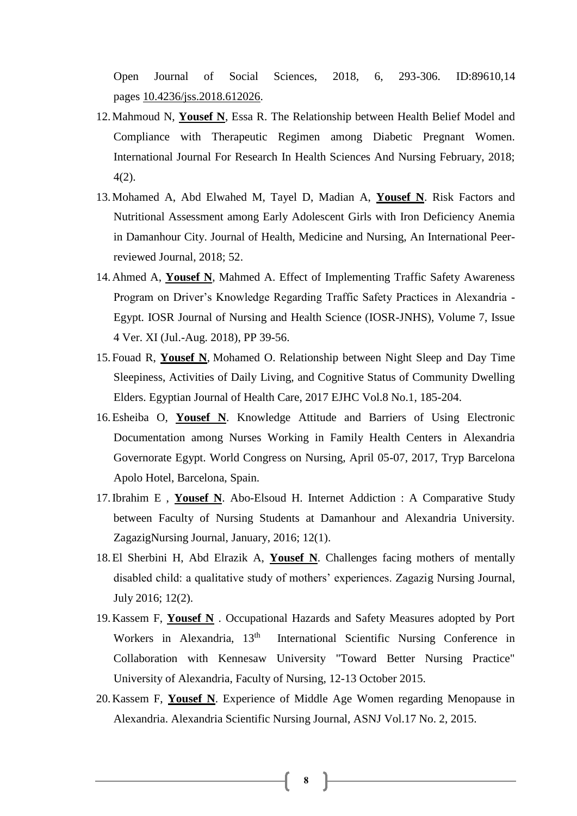Open Journal of Social Sciences, 2018, 6, 293-306. ID:89610,14 pages [10.4236/jss.2018.612026.](http://www.scirp.org/journal/PaperInformation.aspx?PaperID=89610&#abstract)

- 12.Mahmoud N, **Yousef N**, Essa R. The Relationship between Health Belief Model and Compliance with Therapeutic Regimen among Diabetic Pregnant Women. International Journal For Research In Health Sciences And Nursing February, 2018; 4(2).
- 13.Mohamed A, Abd Elwahed M, Tayel D, Madian A, **Yousef N**. Risk Factors and Nutritional Assessment among Early Adolescent Girls with Iron Deficiency Anemia in Damanhour City. Journal of Health, Medicine and Nursing, An International Peerreviewed Journal, 2018; 52.
- 14.Ahmed A, **Yousef N**, Mahmed A. Effect of Implementing Traffic Safety Awareness Program on Driver's Knowledge Regarding Traffic Safety Practices in Alexandria - Egypt. IOSR Journal of Nursing and Health Science (IOSR-JNHS), Volume 7, Issue 4 Ver. XI (Jul.-Aug. 2018), PP 39-56.
- 15.Fouad R, **Yousef N**, [Mohamed](https://ejhc.journals.ekb.eg/?_action=article&au=55858&_au=Ola++Ezzat+Eltohamy+Mohamed) O. Relationship between Night Sleep and Day Time Sleepiness, Activities of Daily Living, and Cognitive Status of Community Dwelling Elders. Egyptian Journal of Health Care, 2017 EJHC Vol.8 No.1, 185-204.
- 16.Esheiba O, **Yousef N**. Knowledge Attitude and Barriers of Using Electronic Documentation among Nurses Working in Family Health Centers in Alexandria Governorate Egypt. World Congress on Nursing, April 05-07, 2017, Tryp Barcelona Apolo Hotel, Barcelona, Spain.
- 17.Ibrahim E , **Yousef N**. Abo-Elsoud H. Internet Addiction : A Comparative Study between Faculty of Nursing Students at Damanhour and Alexandria University. ZagazigNursing Journal, January, 2016; 12(1).
- 18.El Sherbini H, Abd Elrazik A, **Yousef N**. Challenges facing mothers of mentally disabled child: a qualitative study of mothers' experiences. Zagazig Nursing Journal, July 2016; 12(2).
- 19.Kassem F, **Yousef N** . Occupational Hazards and Safety Measures adopted by Port Workers in Alexandria, 13<sup>th</sup> International Scientific Nursing Conference in Collaboration with Kennesaw University "Toward Better Nursing Practice" University of Alexandria, Faculty of Nursing, 12-13 October 2015.
- 20.Kassem F, **Yousef N**. Experience of Middle Age Women regarding Menopause in Alexandria. Alexandria Scientific Nursing Journal, ASNJ Vol.17 No. 2, 2015.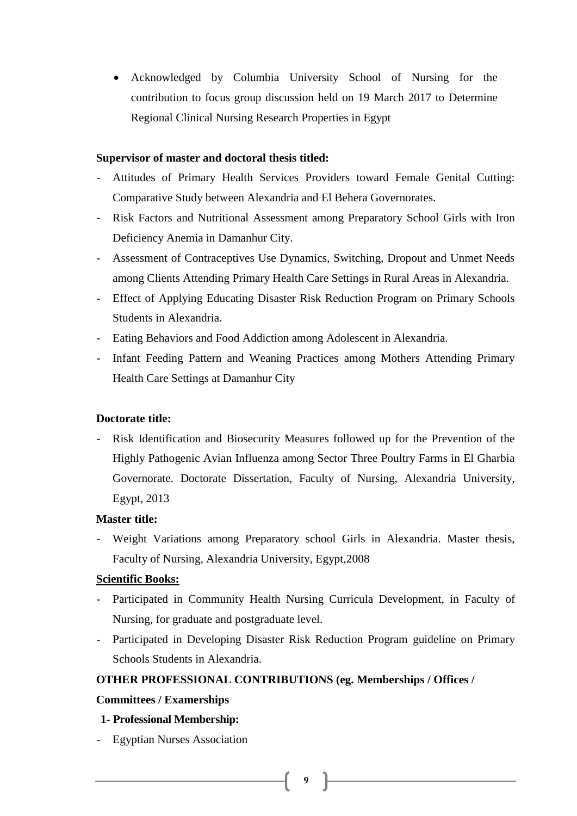Acknowledged by Columbia University School of Nursing for the contribution to focus group discussion held on 19 March 2017 to Determine Regional Clinical Nursing Research Properties in Egypt

#### **Supervisor of master and doctoral thesis titled:**

- Attitudes of Primary Health Services Providers toward Female Genital Cutting: Comparative Study between Alexandria and El Behera Governorates.
- Risk Factors and Nutritional Assessment among Preparatory School Girls with Iron Deficiency Anemia in Damanhur City.
- Assessment of Contraceptives Use Dynamics, Switching, Dropout and Unmet Needs among Clients Attending Primary Health Care Settings in Rural Areas in Alexandria.
- Effect of Applying Educating Disaster Risk Reduction Program on Primary Schools Students in Alexandria.
- Eating Behaviors and Food Addiction among Adolescent in Alexandria.
- Infant Feeding Pattern and Weaning Practices among Mothers Attending Primary Health Care Settings at Damanhur City

## **Doctorate title:**

- Risk Identification and Biosecurity Measures followed up for the Prevention of the Highly Pathogenic Avian Influenza among Sector Three Poultry Farms in El Gharbia Governorate. Doctorate Dissertation, Faculty of Nursing, Alexandria University, Egypt, 2013

## **Master title:**

Weight Variations among Preparatory school Girls in Alexandria. Master thesis, Faculty of Nursing, Alexandria University, Egypt,2008

## **Scientific Books:**

- Participated in Community Health Nursing Curricula Development, in Faculty of Nursing, for graduate and postgraduate level.
- Participated in Developing Disaster Risk Reduction Program guideline on Primary Schools Students in Alexandria.

## **OTHER PROFESSIONAL CONTRIBUTIONS (eg. Memberships / Offices /**

#### **Committees / Examerships**

## **1- Professional Membership:**

- Egyptian Nurses Association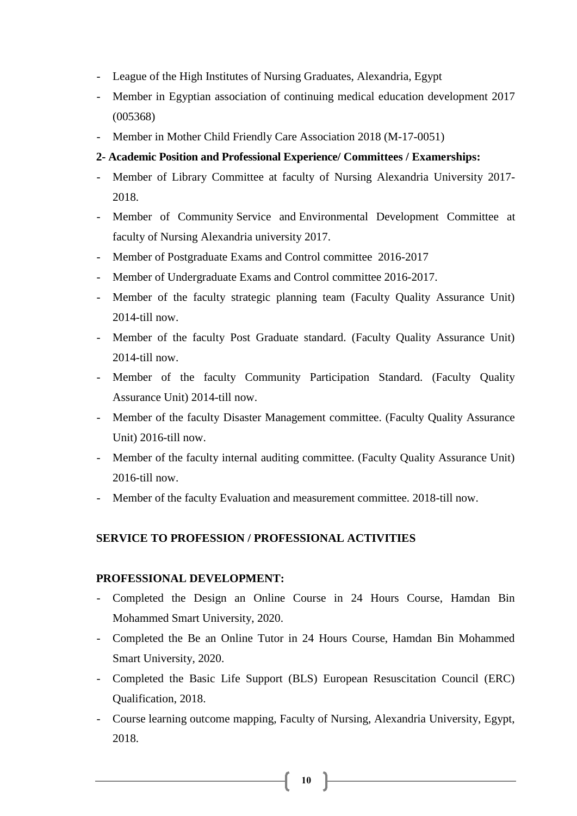- League of the High Institutes of Nursing Graduates, Alexandria, Egypt
- Member in Egyptian association of continuing medical education development 2017 (005368)
- Member in Mother Child Friendly Care Association 2018 (M-17-0051)

## **2- Academic Position and Professional Experience/ Committees / Examerships:**

- Member of Library Committee at faculty of Nursing Alexandria University 2017- 2018.
- Member of Community Service and Environmental Development Committee at faculty of Nursing Alexandria university 2017.
- Member of Postgraduate Exams and Control committee 2016-2017
- Member of Undergraduate Exams and Control committee 2016-2017.
- Member of the faculty strategic planning team (Faculty Quality Assurance Unit) 2014-till now.
- Member of the faculty Post Graduate standard. (Faculty Quality Assurance Unit) 2014-till now.
- Member of the faculty Community Participation Standard. (Faculty Quality Assurance Unit) 2014-till now.
- Member of the faculty Disaster Management committee. (Faculty Quality Assurance Unit) 2016-till now.
- Member of the faculty internal auditing committee. (Faculty Quality Assurance Unit) 2016-till now.
- Member of the faculty Evaluation and measurement committee. 2018-till now.

#### **SERVICE TO PROFESSION / PROFESSIONAL ACTIVITIES**

## **PROFESSIONAL DEVELOPMENT:**

- Completed the Design an Online Course in 24 Hours Course, Hamdan Bin Mohammed Smart University, 2020.
- Completed the Be an Online Tutor in 24 Hours Course, Hamdan Bin Mohammed Smart University, 2020.
- Completed the Basic Life Support (BLS) European Resuscitation Council (ERC) Qualification, 2018.
- Course learning outcome mapping, Faculty of Nursing, Alexandria University, Egypt, 2018.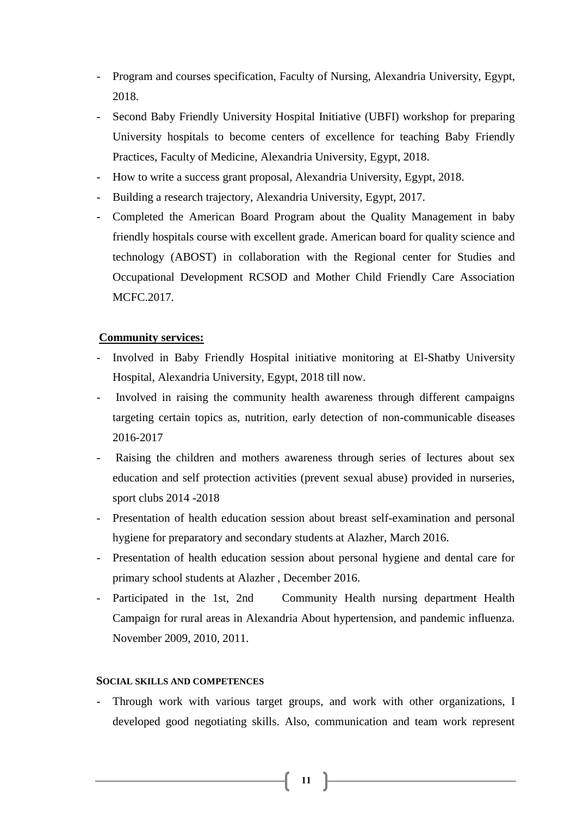- Program and courses specification, Faculty of Nursing, Alexandria University, Egypt, 2018.
- Second Baby Friendly University Hospital Initiative (UBFI) workshop for preparing University hospitals to become centers of excellence for teaching Baby Friendly Practices, Faculty of Medicine, Alexandria University, Egypt, 2018.
- How to write a success grant proposal, Alexandria University, Egypt, 2018.
- Building a research trajectory, Alexandria University, Egypt, 2017.
- Completed the American Board Program about the Quality Management in baby friendly hospitals course with excellent grade. American board for quality science and technology (ABOST) in collaboration with the Regional center for Studies and Occupational Development RCSOD and Mother Child Friendly Care Association MCFC.2017.

#### **Community services:**

- Involved in Baby Friendly Hospital initiative monitoring at El-Shatby University Hospital, Alexandria University, Egypt, 2018 till now.
- Involved in raising the community health awareness through different campaigns targeting certain topics as, nutrition, early detection of non-communicable diseases 2016-2017
- Raising the children and mothers awareness through series of lectures about sex education and self protection activities (prevent sexual abuse) provided in nurseries, sport clubs 2014 -2018
- Presentation of health education session about breast self-examination and personal hygiene for preparatory and secondary students at Alazher, March 2016.
- Presentation of health education session about personal hygiene and dental care for primary school students at Alazher , December 2016.
- Participated in the 1st, 2nd Community Health nursing department Health Campaign for rural areas in Alexandria About hypertension, and pandemic influenza. November 2009, 2010, 2011.

#### **SOCIAL SKILLS AND COMPETENCES**

- Through work with various target groups, and work with other organizations, I developed good negotiating skills. Also, communication and team work represent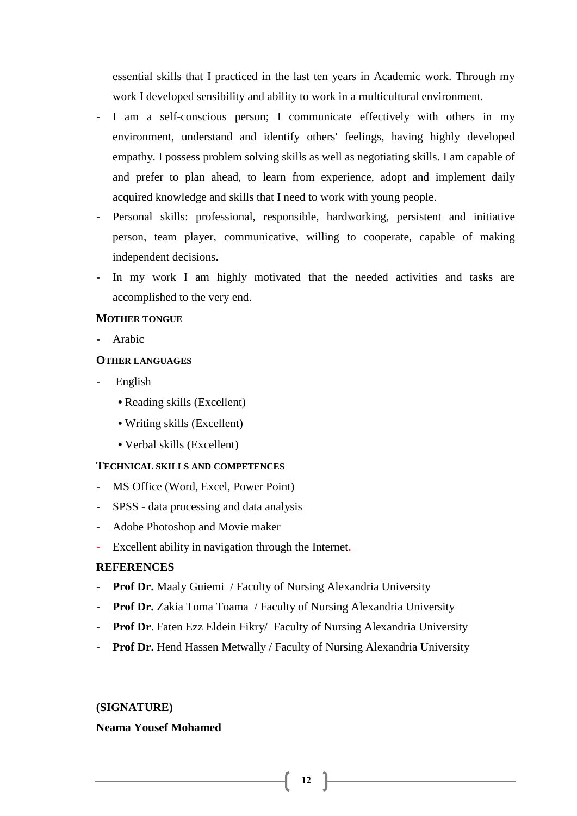essential skills that I practiced in the last ten years in Academic work. Through my work I developed sensibility and ability to work in a multicultural environment.

- I am a self-conscious person; I communicate effectively with others in my environment, understand and identify others' feelings, having highly developed empathy. I possess problem solving skills as well as negotiating skills. I am capable of and prefer to plan ahead, to learn from experience, adopt and implement daily acquired knowledge and skills that I need to work with young people.
- Personal skills: professional, responsible, hardworking, persistent and initiative person, team player, communicative, willing to cooperate, capable of making independent decisions.
- In my work I am highly motivated that the needed activities and tasks are accomplished to the very end.

#### **MOTHER TONGUE**

- Arabic

#### **OTHER LANGUAGES**

- **English** 
	- Reading skills (Excellent)
	- Writing skills (Excellent)
	- Verbal skills (Excellent)

#### **TECHNICAL SKILLS AND COMPETENCES**

- MS Office (Word, Excel, Power Point)
- SPSS data processing and data analysis
- Adobe Photoshop and Movie maker
- Excellent ability in navigation through the Internet.

#### **REFERENCES**

- **Prof Dr.** Maaly Guiemi / Faculty of Nursing Alexandria University
- **Prof Dr.** Zakia Toma Toama / Faculty of Nursing Alexandria University
- **Prof Dr**. Faten Ezz Eldein Fikry/ Faculty of Nursing Alexandria University
- **Prof Dr.** Hend Hassen Metwally / Faculty of Nursing Alexandria University

#### **(SIGNATURE)**

## **Neama Yousef Mohamed**